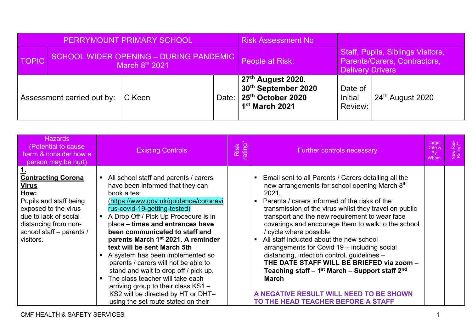| PERRYMOUNT PRIMARY SCHOOL |                            |                                                                      | <b>Risk Assessment No</b> |                                                                                                                             |                                                                                              |                  |
|---------------------------|----------------------------|----------------------------------------------------------------------|---------------------------|-----------------------------------------------------------------------------------------------------------------------------|----------------------------------------------------------------------------------------------|------------------|
| <b>TOPIC</b>              |                            | SCHOOL WIDER OPENING - DURING PANDEMIC<br>March 8 <sup>th</sup> 2021 |                           | People at Risk:                                                                                                             | Staff, Pupils, Siblings Visitors,<br>Parents/Carers, Contractors,<br><b>Delivery Drivers</b> |                  |
|                           | Assessment carried out by: | C Keen                                                               |                           | ∣ 27 <sup>th</sup> August 2020.<br>30th September 2020<br>Date: 25 <sup>th</sup> October 2020<br>1 <sup>st</sup> March 2021 | Date of<br>Initial<br>Review:                                                                | 24th August 2020 |

| <b>Hazards</b><br>(Potential to cause)<br>harm & consider how a<br>person may be hurt)                                                                                                        | <b>Existing Controls</b>                                                                                                                                                                                                                                                                                                                                                                                                                                                                                                                                                                                                                      | Risk<br>ating | <b>Further controls necessary</b>                                                                                                                                                                                                                                                                                                                                                                                                                                                                                                                                                                                                                                                                                               | Target<br>Date &<br><b>By</b><br>Whom | Risk<br>ng** |
|-----------------------------------------------------------------------------------------------------------------------------------------------------------------------------------------------|-----------------------------------------------------------------------------------------------------------------------------------------------------------------------------------------------------------------------------------------------------------------------------------------------------------------------------------------------------------------------------------------------------------------------------------------------------------------------------------------------------------------------------------------------------------------------------------------------------------------------------------------------|---------------|---------------------------------------------------------------------------------------------------------------------------------------------------------------------------------------------------------------------------------------------------------------------------------------------------------------------------------------------------------------------------------------------------------------------------------------------------------------------------------------------------------------------------------------------------------------------------------------------------------------------------------------------------------------------------------------------------------------------------------|---------------------------------------|--------------|
| <b>Contracting Corona</b><br><u>Virus</u><br>How:<br>Pupils and staff being<br>exposed to the virus<br>due to lack of social<br>distancing from non-<br>school staff - parents /<br>visitors. | All school staff and parents / carers<br>have been informed that they can<br>book a test<br>(https://www.gov.uk/guidance/coronavi<br>rus-covid-19-getting-tested)<br>A Drop Off / Pick Up Procedure is in<br>place - times and entrances have<br>been communicated to staff and<br>parents March 1 <sup>st</sup> 2021. A reminder<br>text will be sent March 5th<br>A system has been implemented so<br>parents / carers will not be able to<br>stand and wait to drop off / pick up.<br>The class teacher will take each<br>arriving group to their class KS1 -<br>KS2 will be directed by HT or DHT-<br>using the set route stated on their |               | • Email sent to all Parents / Carers detailing all the<br>new arrangements for school opening March 8th<br>2021.<br>Parents / carers informed of the risks of the<br>transmission of the virus whilst they travel on public<br>transport and the new requirement to wear face<br>coverings and encourage them to walk to the school<br>/ cycle where possible<br>All staff inducted about the new school<br>arrangements for Covid 19 - including social<br>distancing, infection control, guidelines -<br>THE DATE STAFF WILL BE BRIEFED via zoom -<br>Teaching staff – 1 <sup>st</sup> March – Support staff 2 <sup>nd</sup><br><b>March</b><br>A NEGATIVE RESULT WILL NEED TO BE SHOWN<br>TO THE HEAD TEACHER BEFORE A STAFF |                                       |              |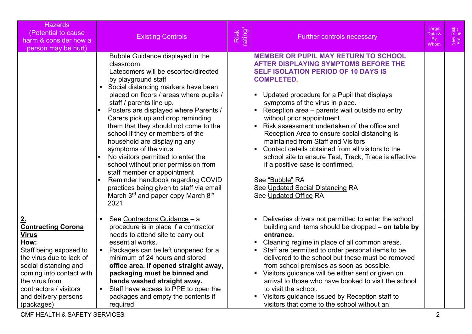| <b>Hazards</b><br>(Potential to cause)<br>harm & consider how a<br>person may be hurt)                                                                                                                                                                      | <b>Existing Controls</b>                                                                                                                                                                                                                                                                                                                                                                                                                                                                                                                                                                                                                                                                       | Risk<br>ating | <b>Further controls necessary</b>                                                                                                                                                                                                                                                                                                                                                                                                                                                                                                                                                                                                                                                                                                                              | Target<br>Date &<br><b>Bv</b><br>Whom | New Risk<br>Rating** |
|-------------------------------------------------------------------------------------------------------------------------------------------------------------------------------------------------------------------------------------------------------------|------------------------------------------------------------------------------------------------------------------------------------------------------------------------------------------------------------------------------------------------------------------------------------------------------------------------------------------------------------------------------------------------------------------------------------------------------------------------------------------------------------------------------------------------------------------------------------------------------------------------------------------------------------------------------------------------|---------------|----------------------------------------------------------------------------------------------------------------------------------------------------------------------------------------------------------------------------------------------------------------------------------------------------------------------------------------------------------------------------------------------------------------------------------------------------------------------------------------------------------------------------------------------------------------------------------------------------------------------------------------------------------------------------------------------------------------------------------------------------------------|---------------------------------------|----------------------|
|                                                                                                                                                                                                                                                             | Bubble Guidance displayed in the<br>classroom.<br>Latecomers will be escorted/directed<br>by playground staff<br>• Social distancing markers have been<br>placed on floors / areas where pupils /<br>staff / parents line up.<br>Posters are displayed where Parents /<br>Carers pick up and drop reminding<br>them that they should not come to the<br>school if they or members of the<br>household are displaying any<br>symptoms of the virus.<br>No visitors permitted to enter the<br>school without prior permission from<br>staff member or appointment<br>Reminder handbook regarding COVID<br>practices being given to staff via email<br>March 3rd and paper copy March 8th<br>2021 |               | <b>MEMBER OR PUPIL MAY RETURN TO SCHOOL</b><br><b>AFTER DISPLAYING SYMPTOMS BEFORE THE</b><br><b>SELF ISOLATION PERIOD OF 10 DAYS IS</b><br><b>COMPLETED.</b><br>Updated procedure for a Pupil that displays<br>$\blacksquare$<br>symptoms of the virus in place.<br>Reception area - parents wait outside no entry<br>without prior appointment.<br>$\blacksquare$<br>Risk assessment undertaken of the office and<br>Reception Area to ensure social distancing is<br>maintained from Staff and Visitors<br>Contact details obtained from all visitors to the<br>$\blacksquare$<br>school site to ensure Test, Track, Trace is effective<br>if a positive case is confirmed.<br>See "Bubble" RA<br>See Updated Social Distancing RA<br>See Updated Office RA |                                       |                      |
| <u>2.</u><br><b>Contracting Corona</b><br><b>Virus</b><br>How:<br>Staff being exposed to<br>the virus due to lack of<br>social distancing and<br>coming into contact with<br>the virus from<br>contractors / visitors<br>and delivery persons<br>(packages) | See Contractors Guidance - a<br>procedure is in place if a contractor<br>needs to attend site to carry out<br>essential works.<br>Packages can be left unopened for a<br>minimum of 24 hours and stored<br>office area. If opened straight away,<br>packaging must be binned and<br>hands washed straight away.<br>Staff have access to PPE to open the<br>packages and empty the contents if<br>required                                                                                                                                                                                                                                                                                      |               | Deliveries drivers not permitted to enter the school<br>$\blacksquare$<br>building and items should be dropped - on table by<br>entrance.<br>Cleaning regime in place of all common areas.<br>$\blacksquare$<br>Staff are permitted to order personal items to be<br>delivered to the school but these must be removed<br>from school premises as soon as possible.<br>Visitors guidance will be either sent or given on<br>$\blacksquare$<br>arrival to those who have booked to visit the school<br>to visit the school.<br>Visitors guidance issued by Reception staff to<br>$\blacksquare$<br>visitors that come to the school without an                                                                                                                  |                                       |                      |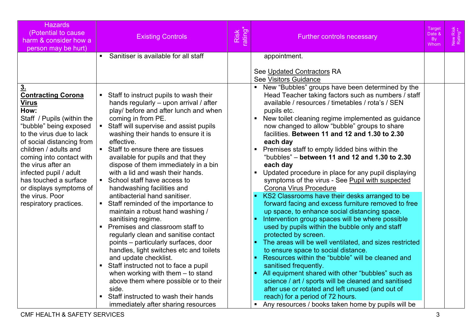| <b>Hazards</b><br>(Potential to cause<br>harm & consider how a<br>person may be hurt)                                                                                                                                                                                                                                                                                                      |                                  | <b>Existing Controls</b>                                                                                                                                                                                                                                                                                                                                                                                                                                                                                                                                                                                                                                                                                                                                                                                                                                                                                                                                                                                      | Risk<br>ating* | <b>Further controls necessary</b>                                                                                                                                                                                                                                                                                                                                                                                                                                                                                                                                                                                                                                                                                                                                                                                                                                                                                                                                                                                                                                                                                                                                                                                                                                                                       | Target<br>Date &<br><b>By</b><br>Whom | New Risk<br>Rating** |
|--------------------------------------------------------------------------------------------------------------------------------------------------------------------------------------------------------------------------------------------------------------------------------------------------------------------------------------------------------------------------------------------|----------------------------------|---------------------------------------------------------------------------------------------------------------------------------------------------------------------------------------------------------------------------------------------------------------------------------------------------------------------------------------------------------------------------------------------------------------------------------------------------------------------------------------------------------------------------------------------------------------------------------------------------------------------------------------------------------------------------------------------------------------------------------------------------------------------------------------------------------------------------------------------------------------------------------------------------------------------------------------------------------------------------------------------------------------|----------------|---------------------------------------------------------------------------------------------------------------------------------------------------------------------------------------------------------------------------------------------------------------------------------------------------------------------------------------------------------------------------------------------------------------------------------------------------------------------------------------------------------------------------------------------------------------------------------------------------------------------------------------------------------------------------------------------------------------------------------------------------------------------------------------------------------------------------------------------------------------------------------------------------------------------------------------------------------------------------------------------------------------------------------------------------------------------------------------------------------------------------------------------------------------------------------------------------------------------------------------------------------------------------------------------------------|---------------------------------------|----------------------|
|                                                                                                                                                                                                                                                                                                                                                                                            | $\blacksquare$                   | Sanitiser is available for all staff                                                                                                                                                                                                                                                                                                                                                                                                                                                                                                                                                                                                                                                                                                                                                                                                                                                                                                                                                                          |                | appointment.                                                                                                                                                                                                                                                                                                                                                                                                                                                                                                                                                                                                                                                                                                                                                                                                                                                                                                                                                                                                                                                                                                                                                                                                                                                                                            |                                       |                      |
|                                                                                                                                                                                                                                                                                                                                                                                            |                                  |                                                                                                                                                                                                                                                                                                                                                                                                                                                                                                                                                                                                                                                                                                                                                                                                                                                                                                                                                                                                               |                | See Updated Contractors RA<br><b>See Visitors Guidance</b><br>New "Bubbles" groups have been determined by the<br>$\blacksquare$                                                                                                                                                                                                                                                                                                                                                                                                                                                                                                                                                                                                                                                                                                                                                                                                                                                                                                                                                                                                                                                                                                                                                                        |                                       |                      |
| 3 <sub>1</sub><br><b>Contracting Corona</b><br><b>Virus</b><br>How:<br>Staff / Pupils (within the<br>"bubble" being exposed<br>to the virus due to lack<br>of social distancing from<br>children / adults and<br>coming into contact with<br>the virus after an<br>infected pupil / adult<br>has touched a surface<br>or displays symptoms of<br>the virus. Poor<br>respiratory practices. | $\blacksquare$<br>$\blacksquare$ | Staff to instruct pupils to wash their<br>hands regularly - upon arrival / after<br>play/ before and after lunch and when<br>coming in from PE.<br>Staff will supervise and assist pupils<br>washing their hands to ensure it is<br>effective.<br>Staff to ensure there are tissues<br>available for pupils and that they<br>dispose of them immediately in a bin<br>with a lid and wash their hands.<br>• School staff have access to<br>handwashing facilities and<br>antibacterial hand sanitiser.<br>Staff reminded of the importance to<br>maintain a robust hand washing /<br>sanitising regime.<br>Premises and classroom staff to<br>regularly clean and sanitise contact<br>points - particularly surfaces, door<br>handles, light switches etc and toilets<br>and update checklist.<br>Staff instructed not to face a pupil<br>when working with them $-$ to stand<br>above them where possible or to their<br>side.<br>Staff instructed to wash their hands<br>immediately after sharing resources |                | Head Teacher taking factors such as numbers / staff<br>available / resources / timetables / rota's / SEN<br>pupils etc.<br>New toilet cleaning regime implemented as guidance<br>$\blacksquare$<br>now changed to allow "bubble" groups to share<br>facilities. Between 11 and 12 and 1.30 to 2.30<br>each day<br>Premises staff to empty lidded bins within the<br>"bubbles" – between 11 and 12 and 1.30 to 2.30<br>each day<br>Updated procedure in place for any pupil displaying<br>symptoms of the virus - See Pupil with suspected<br>Corona Virus Procedure<br>KS2 Classrooms have their desks arranged to be<br>forward facing and excess furniture removed to free<br>up space, to enhance social distancing space.<br>Intervention group spaces will be where possible<br>used by pupils within the bubble only and staff<br>protected by screen.<br>The areas will be well ventilated, and sizes restricted<br>to ensure space to social distance.<br>Resources within the "bubble" will be cleaned and<br>sanitised frequently.<br>All equipment shared with other "bubbles" such as<br>science / art / sports will be cleaned and sanitised<br>after use or rotated and left unused (and out of<br>reach) for a period of 72 hours.<br>Any resources / books taken home by pupils will be |                                       |                      |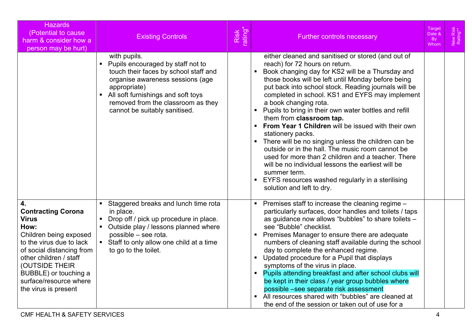| <b>Hazards</b><br>(Potential to cause<br>harm & consider how a<br>person may be hurt)                                                                                                                                                                             | <b>Existing Controls</b>                                                                                                                                                                                                                                      | Risk<br>rating* | <b>Further controls necessary</b>                                                                                                                                                                                                                                                                                                                                                                                                                                                                                                                                                                                                                                                                                                                                                                                                                                                                  | Target<br>Date &<br>By<br>Whom | New Risk<br>Rating** |
|-------------------------------------------------------------------------------------------------------------------------------------------------------------------------------------------------------------------------------------------------------------------|---------------------------------------------------------------------------------------------------------------------------------------------------------------------------------------------------------------------------------------------------------------|-----------------|----------------------------------------------------------------------------------------------------------------------------------------------------------------------------------------------------------------------------------------------------------------------------------------------------------------------------------------------------------------------------------------------------------------------------------------------------------------------------------------------------------------------------------------------------------------------------------------------------------------------------------------------------------------------------------------------------------------------------------------------------------------------------------------------------------------------------------------------------------------------------------------------------|--------------------------------|----------------------|
|                                                                                                                                                                                                                                                                   | with pupils.<br>Pupils encouraged by staff not to<br>touch their faces by school staff and<br>organise awareness sessions (age<br>appropriate)<br>• All soft furnishings and soft toys<br>removed from the classroom as they<br>cannot be suitably sanitised. |                 | either cleaned and sanitised or stored (and out of<br>reach) for 72 hours on return.<br>Book changing day for KS2 will be a Thursday and<br>those books will be left until Monday before being<br>put back into school stock. Reading journals will be<br>completed in school. KS1 and EYFS may implement<br>a book changing rota.<br>Pupils to bring in their own water bottles and refill<br>$\blacksquare$<br>them from classroom tap.<br>From Year 1 Children will be issued with their own<br>$\blacksquare$<br>stationery packs.<br>There will be no singing unless the children can be<br>$\blacksquare$<br>outside or in the hall. The music room cannot be<br>used for more than 2 children and a teacher. There<br>will be no individual lessons the earliest will be<br>summer term.<br>EYFS resources washed regularly in a sterilising<br>$\blacksquare$<br>solution and left to dry. |                                |                      |
| 4.<br><b>Contracting Corona</b><br><b>Virus</b><br>How:<br>Children being exposed<br>to the virus due to lack<br>of social distancing from<br>other children / staff<br>(OUTSIDE THEIR<br>BUBBLE) or touching a<br>surface/resource where<br>the virus is present | Staggered breaks and lunch time rota<br>in place.<br>Drop off / pick up procedure in place.<br>• Outside play / lessons planned where<br>possible - see rota.<br>• Staff to only allow one child at a time<br>to go to the toilet.                            |                 | Premises staff to increase the cleaning regime -<br>particularly surfaces, door handles and toilets / taps<br>as guidance now allows "bubbles" to share toilets -<br>see "Bubble" checklist.<br>Premises Manager to ensure there are adequate<br>numbers of cleaning staff available during the school<br>day to complete the enhanced regime.<br>Updated procedure for a Pupil that displays<br>$\blacksquare$<br>symptoms of the virus in place.<br>Pupils attending breakfast and after school clubs will<br>be kept in their class / year group bubbles where<br>possible -see separate risk assessment<br>All resources shared with "bubbles" are cleaned at<br>the end of the session or taken out of use for a                                                                                                                                                                              |                                |                      |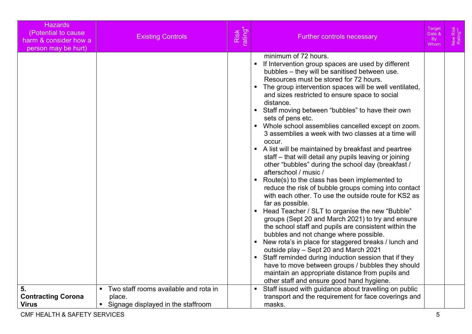| Hazards<br>(Potential to cause<br>harm & consider how a<br>person may be hurt) | <b>Existing Controls</b>                                                                                  | Risk<br>rating* | <b>Further controls necessary</b>                                                                                                                                                                                                                                                                                                                                                                                                                                                                                                                                                                                                                                                                                                                                                                                                                                                                                                                                                                                                                                                                                                                                                                                                                                                                                                                                                                                                                                                                                                                                              | Target<br>Date &<br><b>By</b><br>Whom | New Risk<br>Rating** |
|--------------------------------------------------------------------------------|-----------------------------------------------------------------------------------------------------------|-----------------|--------------------------------------------------------------------------------------------------------------------------------------------------------------------------------------------------------------------------------------------------------------------------------------------------------------------------------------------------------------------------------------------------------------------------------------------------------------------------------------------------------------------------------------------------------------------------------------------------------------------------------------------------------------------------------------------------------------------------------------------------------------------------------------------------------------------------------------------------------------------------------------------------------------------------------------------------------------------------------------------------------------------------------------------------------------------------------------------------------------------------------------------------------------------------------------------------------------------------------------------------------------------------------------------------------------------------------------------------------------------------------------------------------------------------------------------------------------------------------------------------------------------------------------------------------------------------------|---------------------------------------|----------------------|
|                                                                                |                                                                                                           |                 | minimum of 72 hours.<br>If Intervention group spaces are used by different<br>$\blacksquare$<br>bubbles - they will be sanitised between use.<br>Resources must be stored for 72 hours.<br>The group intervention spaces will be well ventilated,<br>$\blacksquare$<br>and sizes restricted to ensure space to social<br>distance.<br>Staff moving between "bubbles" to have their own<br>$\blacksquare$<br>sets of pens etc.<br>Whole school assemblies cancelled except on zoom.<br>$\blacksquare$<br>3 assemblies a week with two classes at a time will<br>occur.<br>A list will be maintained by breakfast and peartree<br>$\blacksquare$<br>staff - that will detail any pupils leaving or joining<br>other "bubbles" during the school day (breakfast /<br>afterschool / music /<br>Route(s) to the class has been implemented to<br>$\blacksquare$<br>reduce the risk of bubble groups coming into contact<br>with each other. To use the outside route for KS2 as<br>far as possible.<br>Head Teacher / SLT to organise the new "Bubble"<br>$\blacksquare$<br>groups (Sept 20 and March 2021) to try and ensure<br>the school staff and pupils are consistent within the<br>bubbles and not change where possible.<br>New rota's in place for staggered breaks / lunch and<br>$\blacksquare$<br>outside play - Sept 20 and March 2021<br>Staff reminded during induction session that if they<br>$\blacksquare$<br>have to move between groups / bubbles they should<br>maintain an appropriate distance from pupils and<br>other staff and ensure good hand hygiene. |                                       |                      |
| 5.<br><b>Contracting Corona</b><br><b>Virus</b>                                | Two staff rooms available and rota in<br>$\blacksquare$<br>place.<br>• Signage displayed in the staffroom |                 | Staff issued with guidance about travelling on public<br>$\blacksquare$<br>transport and the requirement for face coverings and<br>masks.                                                                                                                                                                                                                                                                                                                                                                                                                                                                                                                                                                                                                                                                                                                                                                                                                                                                                                                                                                                                                                                                                                                                                                                                                                                                                                                                                                                                                                      |                                       |                      |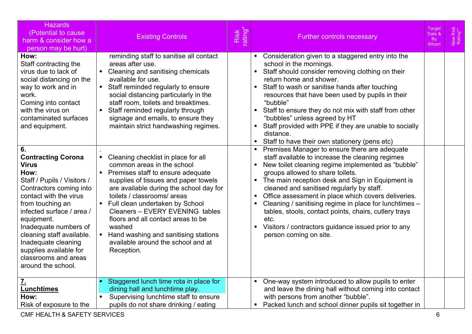| <b>Hazards</b><br>(Potential to cause<br>harm & consider how a<br>person may be hurt)                                                                                                                                                                                                                                                                                                                                                                                                                                                                | <b>Existing Controls</b>                                                                                                                                                                                                                                                                                                                                                                                                                                                                                                                                                                                                                                                                                                                                                                                             | rating*<br>Risk | <b>Further controls necessary</b>                                                                                                                                                                                                                                                                                                                                                                                                                                                                                                                                                                                                                                                                                                                                                                                                                                                                                                                                                                                                                                                                                                                                                                | <u>Target</u><br>Date &<br><b>By</b><br>Whom | Risk<br>ng**<br>Vew<br>Rati |
|------------------------------------------------------------------------------------------------------------------------------------------------------------------------------------------------------------------------------------------------------------------------------------------------------------------------------------------------------------------------------------------------------------------------------------------------------------------------------------------------------------------------------------------------------|----------------------------------------------------------------------------------------------------------------------------------------------------------------------------------------------------------------------------------------------------------------------------------------------------------------------------------------------------------------------------------------------------------------------------------------------------------------------------------------------------------------------------------------------------------------------------------------------------------------------------------------------------------------------------------------------------------------------------------------------------------------------------------------------------------------------|-----------------|--------------------------------------------------------------------------------------------------------------------------------------------------------------------------------------------------------------------------------------------------------------------------------------------------------------------------------------------------------------------------------------------------------------------------------------------------------------------------------------------------------------------------------------------------------------------------------------------------------------------------------------------------------------------------------------------------------------------------------------------------------------------------------------------------------------------------------------------------------------------------------------------------------------------------------------------------------------------------------------------------------------------------------------------------------------------------------------------------------------------------------------------------------------------------------------------------|----------------------------------------------|-----------------------------|
| How:<br>Staff contracting the<br>virus due to lack of<br>social distancing on the<br>way to work and in<br>work.<br>Coming into contact<br>with the virus on<br>contaminated surfaces<br>and equipment.<br>6.<br><b>Contracting Corona</b><br><b>Virus</b><br>How:<br>Staff / Pupils / Visitors /<br>Contractors coming into<br>contact with the virus<br>from touching an<br>infected surface / area /<br>equipment.<br>Inadequate numbers of<br>cleaning staff available.<br>Inadequate cleaning<br>supplies available for<br>classrooms and areas | reminding staff to sanitise all contact<br>areas after use.<br>• Cleaning and sanitising chemicals<br>available for use.<br>• Staff reminded regularly to ensure<br>social distancing particularly in the<br>staff room, toilets and breaktimes.<br>Staff reminded regularly through<br>signage and emails, to ensure they<br>maintain strict handwashing regimes.<br>Cleaning checklist in place for all<br>common areas in the school<br>Premises staff to ensure adequate<br>supplies of tissues and paper towels<br>are available during the school day for<br>toilets / classrooms/ areas<br>• Full clean undertaken by School<br>Cleaners - EVERY EVENING tables<br>floors and all contact areas to be<br>washed<br>• Hand washing and sanitising stations<br>available around the school and at<br>Reception. |                 | Consideration given to a staggered entry into the<br>school in the mornings.<br>Staff should consider removing clothing on their<br>$\blacksquare$<br>return home and shower.<br>Staff to wash or sanitise hands after touching<br>resources that have been used by pupils in their<br>"bubble"<br>Staff to ensure they do not mix with staff from other<br>$\blacksquare$<br>"bubbles" unless agreed by HT<br>Staff provided with PPE if they are unable to socially<br>distance.<br>Staff to have their own stationery (pens etc)<br>Premises Manager to ensure there are adequate<br>$\blacksquare$<br>staff available to increase the cleaning regimes<br>New toilet cleaning regime implemented as "bubble"<br>$\blacksquare$<br>groups allowed to share toilets.<br>The main reception desk and Sign in Equipment is<br>$\blacksquare$<br>cleaned and sanitised regularly by staff.<br>Office assessment in place which covers deliveries.<br>$\blacksquare$<br>Cleaning / sanitising regime in place for lunchtimes -<br>tables, stools, contact points, chairs, cutlery trays<br>etc.<br>Visitors / contractors guidance issued prior to any<br>$\blacksquare$<br>person coming on site. |                                              |                             |
| around the school.<br><u>7.</u><br><b>Lunchtimes</b><br>How:<br>Risk of exposure to the                                                                                                                                                                                                                                                                                                                                                                                                                                                              | Staggered lunch time rota in place for<br>dining hall and lunchtime play.<br>Supervising lunchtime staff to ensure<br>pupils do not share drinking / eating                                                                                                                                                                                                                                                                                                                                                                                                                                                                                                                                                                                                                                                          |                 | One-way system introduced to allow pupils to enter<br>and leave the dining hall without coming into contact<br>with persons from another "bubble".<br>Packed lunch and school dinner pupils sit together in                                                                                                                                                                                                                                                                                                                                                                                                                                                                                                                                                                                                                                                                                                                                                                                                                                                                                                                                                                                      |                                              |                             |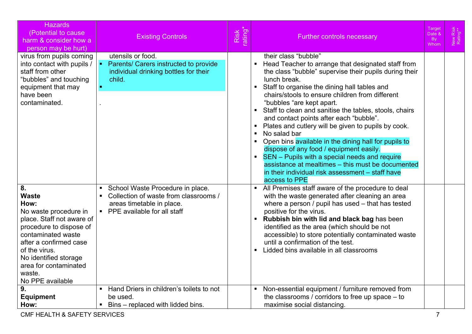| <b>Hazards</b><br>(Potential to cause<br>harm & consider how a<br>person may be hurt)                                                                                                                                                                              | <b>Existing Controls</b>                                                                                                                                                                                    | Risk<br>rating* | <b>Target</b><br>New Risk<br>Rating**<br>Date &<br><b>Further controls necessary</b><br>By<br>Whom                                                                                                                                                                                                                                                                                                                                                                                                                                                                                                                                                                                                                                                                                                                     |  |
|--------------------------------------------------------------------------------------------------------------------------------------------------------------------------------------------------------------------------------------------------------------------|-------------------------------------------------------------------------------------------------------------------------------------------------------------------------------------------------------------|-----------------|------------------------------------------------------------------------------------------------------------------------------------------------------------------------------------------------------------------------------------------------------------------------------------------------------------------------------------------------------------------------------------------------------------------------------------------------------------------------------------------------------------------------------------------------------------------------------------------------------------------------------------------------------------------------------------------------------------------------------------------------------------------------------------------------------------------------|--|
| virus from pupils coming<br>into contact with pupils<br>staff from other<br>"bubbles" and touching<br>equipment that may<br>have been<br>contaminated.                                                                                                             | utensils or food.<br>Parents/ Carers instructed to provide<br>$\mathbf{H}^{\text{eff}}$<br>individual drinking bottles for their<br>child.<br>×.                                                            |                 | their class "bubble"<br>Head Teacher to arrange that designated staff from<br>$\blacksquare$<br>the class "bubble" supervise their pupils during their<br>lunch break.<br>Staff to organise the dining hall tables and<br>$\blacksquare$<br>chairs/stools to ensure children from different<br>"bubbles "are kept apart.<br>Staff to clean and sanitise the tables, stools, chairs<br>$\blacksquare$<br>and contact points after each "bubble".<br>Plates and cutlery will be given to pupils by cook.<br>$\blacksquare$<br>No salad bar<br>Open bins available in the dining hall for pupils to<br>dispose of any food / equipment easily.<br>SEN - Pupils with a special needs and require<br>assistance at mealtimes - this must be documented<br>in their individual risk assessment - staff have<br>access to PPE |  |
| 8.<br><b>Waste</b><br>How:<br>No waste procedure in<br>place. Staff not aware of<br>procedure to dispose of<br>contaminated waste<br>after a confirmed case<br>of the virus.<br>No identified storage<br>area for contaminated<br>waste.<br>No PPE available<br>9. | School Waste Procedure in place.<br>$\blacksquare$<br>Collection of waste from classrooms /<br>areas timetable in place.<br>• PPE available for all staff<br>Hand Driers in children's toilets to not<br>п. |                 | All Premises staff aware of the procedure to deal<br>$\blacksquare$<br>with the waste generated after cleaning an area<br>where a person / pupil has used - that has tested<br>positive for the virus.<br>Rubbish bin with lid and black bag has been<br>identified as the area (which should be not<br>accessible) to store potentially contaminated waste<br>until a confirmation of the test.<br>Lidded bins available in all classrooms<br>Non-essential equipment / furniture removed from                                                                                                                                                                                                                                                                                                                        |  |
| <b>Equipment</b><br>How:                                                                                                                                                                                                                                           | be used.<br>Bins – replaced with lidded bins.                                                                                                                                                               |                 | the classrooms / corridors to free up space - to<br>maximise social distancing.                                                                                                                                                                                                                                                                                                                                                                                                                                                                                                                                                                                                                                                                                                                                        |  |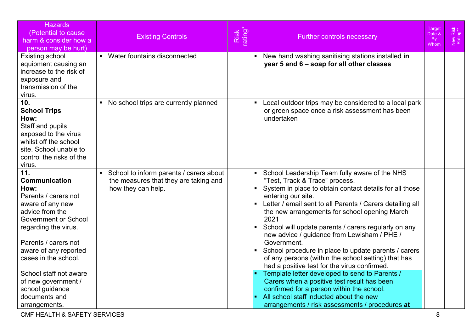| <b>Hazards</b><br>(Potential to cause)<br>harm & consider how a<br>person may be hurt)                                                                                                                                             | <b>Existing Controls</b>                                                                               | Risk<br>rating* | Target<br>Date &<br><b>Further controls necessary</b><br><b>By</b><br>Whom                                                                                                                                                                                                                                                                                                                                                                                                                                                                                                                                            | Risk<br>ng**<br><b>Vew</b><br>Rati |
|------------------------------------------------------------------------------------------------------------------------------------------------------------------------------------------------------------------------------------|--------------------------------------------------------------------------------------------------------|-----------------|-----------------------------------------------------------------------------------------------------------------------------------------------------------------------------------------------------------------------------------------------------------------------------------------------------------------------------------------------------------------------------------------------------------------------------------------------------------------------------------------------------------------------------------------------------------------------------------------------------------------------|------------------------------------|
| Existing school<br>equipment causing an<br>increase to the risk of<br>exposure and<br>transmission of the<br>virus.                                                                                                                | ■ Water fountains disconnected                                                                         |                 | New hand washing sanitising stations installed in<br>year 5 and 6 - soap for all other classes                                                                                                                                                                                                                                                                                                                                                                                                                                                                                                                        |                                    |
| 10 <sub>1</sub><br><b>School Trips</b><br>How:<br>Staff and pupils<br>exposed to the virus<br>whilst off the school<br>site. School unable to<br>control the risks of the<br>virus.                                                | • No school trips are currently planned                                                                |                 | Local outdoor trips may be considered to a local park<br>$\blacksquare$<br>or green space once a risk assessment has been<br>undertaken                                                                                                                                                                                                                                                                                                                                                                                                                                                                               |                                    |
| 11.<br><b>Communication</b><br>How:<br>Parents / carers not<br>aware of any new<br>advice from the<br><b>Government or School</b><br>regarding the virus.<br>Parents / carers not<br>aware of any reported<br>cases in the school. | School to inform parents / carers about<br>the measures that they are taking and<br>how they can help. |                 | School Leadership Team fully aware of the NHS<br>$\blacksquare$<br>"Test, Track & Trace" process.<br>$\blacksquare$<br>System in place to obtain contact details for all those<br>entering our site.<br>Letter / email sent to all Parents / Carers detailing all<br>$\blacksquare$<br>the new arrangements for school opening March<br>2021<br>School will update parents / carers regularly on any<br>$\blacksquare$<br>new advice / guidance from Lewisham / PHE /<br>Government.<br>School procedure in place to update parents / carers<br>$\blacksquare$<br>of any persons (within the school setting) that has |                                    |
| School staff not aware<br>of new government /<br>school guidance<br>documents and<br>arrangements.                                                                                                                                 |                                                                                                        |                 | had a positive test for the virus confirmed.<br>Template letter developed to send to Parents /<br>Carers when a positive test result has been<br>confirmed for a person within the school.<br>All school staff inducted about the new<br>arrangements / risk assessments / procedures at                                                                                                                                                                                                                                                                                                                              |                                    |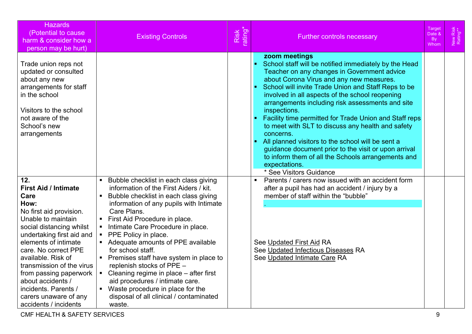| <b>Hazards</b><br>(Potential to cause<br>harm & consider how a<br>person may be hurt)                                                                                                                                                                                                                                                                                                    | <b>Existing Controls</b>                                                                                                                                                                                                                                                                                                                                                                                                                                                                                                                                                                          | Risk<br>rating* | <b>Further controls necessary</b>                                                                                                                                                                                                                                                                                                                                                                                                                                                                                                                                                                                                                                                                                                   | Target<br>Date &<br><b>By</b><br>Whom | New Risk<br>Rating** |
|------------------------------------------------------------------------------------------------------------------------------------------------------------------------------------------------------------------------------------------------------------------------------------------------------------------------------------------------------------------------------------------|---------------------------------------------------------------------------------------------------------------------------------------------------------------------------------------------------------------------------------------------------------------------------------------------------------------------------------------------------------------------------------------------------------------------------------------------------------------------------------------------------------------------------------------------------------------------------------------------------|-----------------|-------------------------------------------------------------------------------------------------------------------------------------------------------------------------------------------------------------------------------------------------------------------------------------------------------------------------------------------------------------------------------------------------------------------------------------------------------------------------------------------------------------------------------------------------------------------------------------------------------------------------------------------------------------------------------------------------------------------------------------|---------------------------------------|----------------------|
| Trade union reps not<br>updated or consulted<br>about any new<br>arrangements for staff<br>in the school<br>Visitors to the school<br>not aware of the<br>School's new<br>arrangements                                                                                                                                                                                                   |                                                                                                                                                                                                                                                                                                                                                                                                                                                                                                                                                                                                   |                 | zoom meetings<br>School staff will be notified immediately by the Head<br>$\blacksquare$<br>Teacher on any changes in Government advice<br>about Corona Virus and any new measures.<br>School will invite Trade Union and Staff Reps to be<br>$\blacksquare$<br>involved in all aspects of the school reopening<br>arrangements including risk assessments and site<br>inspections.<br>Facility time permitted for Trade Union and Staff reps<br>to meet with SLT to discuss any health and safety<br>concerns.<br>All planned visitors to the school will be sent a<br>п<br>guidance document prior to the visit or upon arrival<br>to inform them of all the Schools arrangements and<br>expectations.<br>* See Visitors Guidance |                                       |                      |
| 12.<br><b>First Aid / Intimate</b><br>Care<br>How:<br>No first aid provision.<br>Unable to maintain<br>social distancing whilst<br>undertaking first aid and<br>elements of intimate<br>care. No correct PPE<br>available. Risk of<br>transmission of the virus<br>from passing paperwork<br>about accidents /<br>incidents. Parents /<br>carers unaware of any<br>accidents / incidents | Bubble checklist in each class giving<br>information of the First Aiders / kit.<br>Bubble checklist in each class giving<br>information of any pupils with Intimate<br>Care Plans.<br>• First Aid Procedure in place.<br>Intimate Care Procedure in place.<br>• PPE Policy in place.<br>Adequate amounts of PPE available<br>for school staff.<br>• Premises staff have system in place to<br>replenish stocks of PPE -<br>• Cleaning regime in place - after first<br>aid procedures / intimate care.<br>• Waste procedure in place for the<br>disposal of all clinical / contaminated<br>waste. |                 | Parents / carers now issued with an accident form<br>$\blacksquare$<br>after a pupil has had an accident / injury by a<br>member of staff within the "bubble"<br>See Updated First Aid RA<br>See Updated Infectious Diseases RA<br>See Updated Intimate Care RA                                                                                                                                                                                                                                                                                                                                                                                                                                                                     |                                       |                      |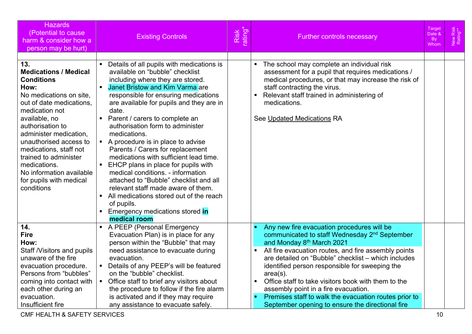| <b>Hazards</b><br>(Potential to cause<br>harm & consider how a<br>person may be hurt)                                                                                                                                                                                                                                                                                      | <b>Existing Controls</b>                                                                                                                                                                                                                                                                                                                                                                                                                                                                                                                                                                                                                                                                                                                 | Risk<br>rating* | <b>Further controls necessary</b>                                                                                                                                                                                                                                                                                                                                                                                                                                                                                                            | <u>Target</u><br>Date &<br>B <sub>V</sub><br>Whom | New Risk<br>Rating** |
|----------------------------------------------------------------------------------------------------------------------------------------------------------------------------------------------------------------------------------------------------------------------------------------------------------------------------------------------------------------------------|------------------------------------------------------------------------------------------------------------------------------------------------------------------------------------------------------------------------------------------------------------------------------------------------------------------------------------------------------------------------------------------------------------------------------------------------------------------------------------------------------------------------------------------------------------------------------------------------------------------------------------------------------------------------------------------------------------------------------------------|-----------------|----------------------------------------------------------------------------------------------------------------------------------------------------------------------------------------------------------------------------------------------------------------------------------------------------------------------------------------------------------------------------------------------------------------------------------------------------------------------------------------------------------------------------------------------|---------------------------------------------------|----------------------|
| 13.<br><b>Medications / Medical</b><br><b>Conditions</b><br>How:<br>No medications on site,<br>out of date medications,<br>medication not<br>available, no<br>authorisation to<br>administer medication,<br>unauthorised access to<br>medications, staff not<br>trained to administer<br>medications.<br>No information available<br>for pupils with medical<br>conditions | Details of all pupils with medications is<br>available on "bubble" checklist<br>including where they are stored.<br><b>Janet Bristow and Kim Varma are</b><br>responsible for ensuring medications<br>are available for pupils and they are in<br>date.<br>Parent / carers to complete an<br>authorisation form to administer<br>medications.<br>A procedure is in place to advise<br>Parents / Carers for replacement<br>medications with sufficient lead time.<br>EHCP plans in place for pupils with<br>medical conditions. - information<br>attached to "Bubble" checklist and all<br>relevant staff made aware of them.<br>All medications stored out of the reach<br>of pupils.<br>Emergency medications stored in<br>medical room |                 | The school may complete an individual risk<br>$\blacksquare$<br>assessment for a pupil that requires medications /<br>medical procedures, or that may increase the risk of<br>staff contracting the virus.<br>Relevant staff trained in administering of<br>$\blacksquare$<br>medications.<br>See Updated Medications RA                                                                                                                                                                                                                     |                                                   |                      |
| 14.<br><b>Fire</b><br>How:<br>Staff /Visitors and pupils<br>unaware of the fire<br>evacuation procedure.<br>Persons from "bubbles"<br>coming into contact with<br>each other during an<br>evacuation.<br>Insufficient fire                                                                                                                                                 | A PEEP (Personal Emergency<br>Evacuation Plan) is in place for any<br>person within the "Bubble" that may<br>need assistance to evacuate during<br>evacuation.<br>Details of any PEEP's will be featured<br>on the "bubble" checklist.<br>• Office staff to brief any visitors about<br>the procedure to follow if the fire alarm<br>is activated and if they may require<br>any assistance to evacuate safely.                                                                                                                                                                                                                                                                                                                          |                 | Any new fire evacuation procedures will be<br>communicated to staff Wednesday 2 <sup>nd</sup> September<br>and Monday 8 <sup>th</sup> March 2021<br>All fire evacuation routes, and fire assembly points<br>are detailed on "Bubble" checklist - which includes<br>identified person responsible for sweeping the<br>$area(s)$ .<br>Office staff to take visitors book with them to the<br>assembly point in a fire evacuation.<br>Premises staff to walk the evacuation routes prior to<br>September opening to ensure the directional fire |                                                   |                      |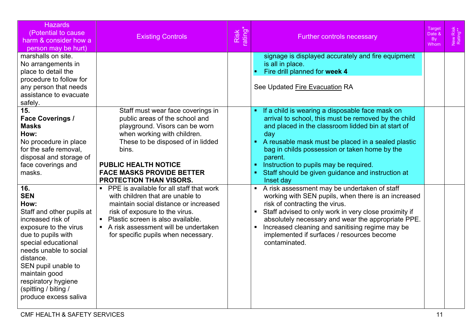| <b>Hazards</b><br>(Potential to cause<br>harm & consider how a<br>person may be hurt)                                                                                                                                                                                                                    | <b>Existing Controls</b>                                                                                                                                                                                                                                                                | Risk<br>rating* | <b>Further controls necessary</b>                                                                                                                                                                                                                                                                                                                                                                            | Target<br>Date &<br><b>By</b><br>Whom | Risk<br>Ing**<br>Vew<br>Rati |
|----------------------------------------------------------------------------------------------------------------------------------------------------------------------------------------------------------------------------------------------------------------------------------------------------------|-----------------------------------------------------------------------------------------------------------------------------------------------------------------------------------------------------------------------------------------------------------------------------------------|-----------------|--------------------------------------------------------------------------------------------------------------------------------------------------------------------------------------------------------------------------------------------------------------------------------------------------------------------------------------------------------------------------------------------------------------|---------------------------------------|------------------------------|
| marshalls on site.<br>No arrangements in<br>place to detail the<br>procedure to follow for<br>any person that needs<br>assistance to evacuate<br>safely.                                                                                                                                                 |                                                                                                                                                                                                                                                                                         |                 | signage is displayed accurately and fire equipment<br>is all in place.<br>Fire drill planned for week 4<br>See Updated Fire Evacuation RA                                                                                                                                                                                                                                                                    |                                       |                              |
| 15.<br><b>Face Coverings /</b><br><b>Masks</b><br>How:<br>No procedure in place<br>for the safe removal,<br>disposal and storage of<br>face coverings and<br>masks.                                                                                                                                      | Staff must wear face coverings in<br>public areas of the school and<br>playground. Visors can be worn<br>when working with children.<br>These to be disposed of in lidded<br>bins.<br><b>PUBLIC HEALTH NOTICE</b><br><b>FACE MASKS PROVIDE BETTER</b><br><b>PROTECTION THAN VISORS.</b> |                 | If a child is wearing a disposable face mask on<br>arrival to school, this must be removed by the child<br>and placed in the classroom lidded bin at start of<br>day<br>• A reusable mask must be placed in a sealed plastic<br>bag in childs possession or taken home by the<br>parent.<br>Instruction to pupils may be required.<br>Staff should be given guidance and instruction at<br>Inset day         |                                       |                              |
| 16.<br><b>SEN</b><br>How:<br>Staff and other pupils at<br>increased risk of<br>exposure to the virus<br>due to pupils with<br>special educational<br>needs unable to social<br>distance.<br>SEN pupil unable to<br>maintain good<br>respiratory hygiene<br>(spitting / biting /<br>produce excess saliva | • PPE is available for all staff that work<br>with children that are unable to<br>maintain social distance or increased<br>risk of exposure to the virus.<br>• Plastic screen is also available.<br>A risk assessment will be undertaken<br>for specific pupils when necessary.         |                 | A risk assessment may be undertaken of staff<br>$\blacksquare$<br>working with SEN pupils, when there is an increased<br>risk of contracting the virus.<br>• Staff advised to only work in very close proximity if<br>absolutely necessary and wear the appropriate PPE.<br>Increased cleaning and sanitising regime may be<br>$\blacksquare$<br>implemented if surfaces / resources become<br>contaminated. |                                       |                              |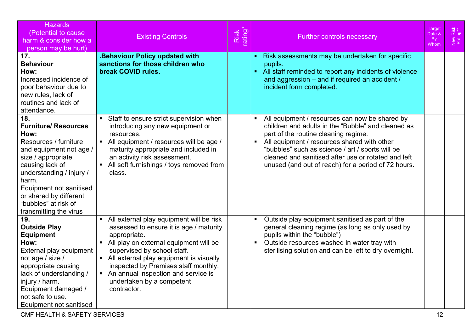| <b>Hazards</b><br>(Potential to cause<br>harm & consider how a<br>person may be hurt)                                                                                                                                                                                               | <b>Existing Controls</b>                                                                                                                                                                                                                                                                                                                                 | Risk<br>ating | <b>Further controls necessary</b>                                                                                                                                                                                                                                                                                                                                                                 | Target<br>Date &<br><b>By</b><br>Whom | New Risk<br>Rating** |
|-------------------------------------------------------------------------------------------------------------------------------------------------------------------------------------------------------------------------------------------------------------------------------------|----------------------------------------------------------------------------------------------------------------------------------------------------------------------------------------------------------------------------------------------------------------------------------------------------------------------------------------------------------|---------------|---------------------------------------------------------------------------------------------------------------------------------------------------------------------------------------------------------------------------------------------------------------------------------------------------------------------------------------------------------------------------------------------------|---------------------------------------|----------------------|
| 17.<br><b>Behaviour</b><br>How:<br>Increased incidence of<br>poor behaviour due to<br>new rules, lack of<br>routines and lack of<br>attendance.                                                                                                                                     | <b>.Behaviour Policy updated with</b><br>sanctions for those children who<br>break COVID rules.                                                                                                                                                                                                                                                          |               | Risk assessments may be undertaken for specific<br>$\blacksquare$<br>pupils.<br>All staff reminded to report any incidents of violence<br>$\blacksquare$<br>and aggression - and if required an accident /<br>incident form completed.                                                                                                                                                            |                                       |                      |
| 18.<br><b>Furniture/ Resources</b><br>How:<br>Resources / furniture<br>and equipment not age /<br>size / appropriate<br>causing lack of<br>understanding / injury /<br>harm.<br>Equipment not sanitised<br>or shared by different<br>"bubbles" at risk of<br>transmitting the virus | • Staff to ensure strict supervision when<br>introducing any new equipment or<br>resources.<br>• All equipment / resources will be age /<br>maturity appropriate and included in<br>an activity risk assessment.<br>• All soft furnishings / toys removed from<br>class.                                                                                 |               | All equipment / resources can now be shared by<br>$\blacksquare$<br>children and adults in the "Bubble" and cleaned as<br>part of the routine cleaning regime.<br>$\blacksquare$<br>All equipment / resources shared with other<br>"bubbles" such as science / art / sports will be<br>cleaned and sanitised after use or rotated and left<br>unused (and out of reach) for a period of 72 hours. |                                       |                      |
| 19.<br><b>Outside Play</b><br><b>Equipment</b><br>How:<br>External play equipment<br>not age / size /<br>appropriate causing<br>lack of understanding /<br>injury / harm.<br>Equipment damaged /<br>not safe to use.<br>Equipment not sanitised                                     | • All external play equipment will be risk<br>assessed to ensure it is age / maturity<br>appropriate.<br>• All play on external equipment will be<br>supervised by school staff.<br>• All external play equipment is visually<br>inspected by Premises staff monthly.<br>An annual inspection and service is<br>undertaken by a competent<br>contractor. |               | Outside play equipment sanitised as part of the<br>$\blacksquare$<br>general cleaning regime (as long as only used by<br>pupils within the "bubble")<br>Outside resources washed in water tray with<br>$\blacksquare$<br>sterilising solution and can be left to dry overnight.                                                                                                                   |                                       |                      |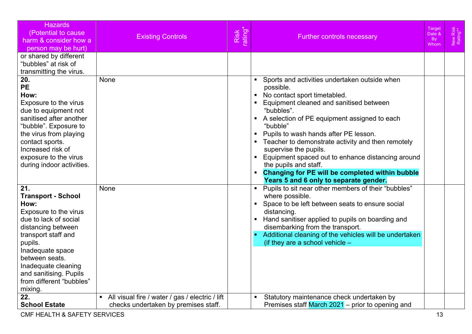| <b>Hazards</b><br>(Potential to cause<br>harm & consider how a<br>person may be hurt)                                                                                                                                                                                            | <b>Existing Controls</b>                                                                  | Risk<br>rating' | <b>Further controls necessary</b>                                                                                                                                                                                                                                                                                                                                                                                                                                                                                                                                       | Target<br>Date &<br><b>By</b><br>Whom | New Risk<br>Rating** |
|----------------------------------------------------------------------------------------------------------------------------------------------------------------------------------------------------------------------------------------------------------------------------------|-------------------------------------------------------------------------------------------|-----------------|-------------------------------------------------------------------------------------------------------------------------------------------------------------------------------------------------------------------------------------------------------------------------------------------------------------------------------------------------------------------------------------------------------------------------------------------------------------------------------------------------------------------------------------------------------------------------|---------------------------------------|----------------------|
| or shared by different<br>"bubbles" at risk of<br>transmitting the virus.                                                                                                                                                                                                        |                                                                                           |                 |                                                                                                                                                                                                                                                                                                                                                                                                                                                                                                                                                                         |                                       |                      |
| 20.<br><b>PE</b><br>How:<br>Exposure to the virus<br>due to equipment not<br>sanitised after another<br>"bubble". Exposure to<br>the virus from playing<br>contact sports.<br>Increased risk of<br>exposure to the virus<br>during indoor activities.                            | <b>None</b>                                                                               |                 | Sports and activities undertaken outside when<br>possible.<br>No contact sport timetabled.<br>$\blacksquare$<br>Equipment cleaned and sanitised between<br>"bubbles".<br>A selection of PE equipment assigned to each<br>$\blacksquare$<br>"bubble"<br>Pupils to wash hands after PE lesson.<br>$\blacksquare$<br>Teacher to demonstrate activity and then remotely<br>supervise the pupils.<br>Equipment spaced out to enhance distancing around<br>the pupils and staff.<br>Changing for PE will be completed within bubble<br>Years 5 and 6 only to separate gender. |                                       |                      |
| 21.<br><b>Transport - School</b><br>How:<br>Exposure to the virus<br>due to lack of social<br>distancing between<br>transport staff and<br>pupils.<br>Inadequate space<br>between seats.<br>Inadequate cleaning<br>and sanitising. Pupils<br>from different "bubbles"<br>mixing. | None                                                                                      |                 | Pupils to sit near other members of their "bubbles"<br>$\blacksquare$<br>where possible.<br>Space to be left between seats to ensure social<br>distancing.<br>Hand sanitiser applied to pupils on boarding and<br>disembarking from the transport.<br>Additional cleaning of the vehicles will be undertaken<br>(if they are a school vehicle $-$                                                                                                                                                                                                                       |                                       |                      |
| 22.<br><b>School Estate</b>                                                                                                                                                                                                                                                      | • All visual fire / water / gas / electric / lift<br>checks undertaken by premises staff. |                 | Statutory maintenance check undertaken by<br>Premises staff March 2021 - prior to opening and                                                                                                                                                                                                                                                                                                                                                                                                                                                                           |                                       |                      |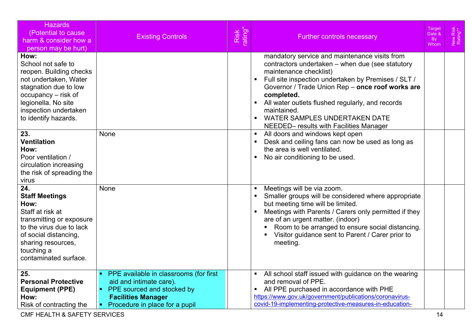| <b>Hazards</b><br>(Potential to cause<br>harm & consider how a<br>person may be hurt)                                                                                                                         | <b>Existing Controls</b>                                                                                                                                         | Risk<br>rating* | Target<br>New Risk<br>Rating**<br>Date &<br><b>Further controls necessary</b><br>By<br>Whom                                                                                                                                                                                                                                                                                                                                                                     |
|---------------------------------------------------------------------------------------------------------------------------------------------------------------------------------------------------------------|------------------------------------------------------------------------------------------------------------------------------------------------------------------|-----------------|-----------------------------------------------------------------------------------------------------------------------------------------------------------------------------------------------------------------------------------------------------------------------------------------------------------------------------------------------------------------------------------------------------------------------------------------------------------------|
| How:<br>School not safe to<br>reopen. Building checks<br>not undertaken, Water<br>stagnation due to low<br>occupancy – risk of<br>legionella. No site<br>inspection undertaken<br>to identify hazards.<br>23. | None                                                                                                                                                             |                 | mandatory service and maintenance visits from<br>contractors undertaken - when due (see statutory<br>maintenance checklist)<br>Full site inspection undertaken by Premises / SLT /<br>$\blacksquare$<br>Governor / Trade Union Rep - once roof works are<br>completed.<br>All water outlets flushed regularly, and records<br>maintained.<br><b>WATER SAMPLES UNDERTAKEN DATE</b><br>NEEDED- results with Facilities Manager<br>All doors and windows kept open |
| <b>Ventilation</b><br>How:<br>Poor ventilation /<br>circulation increasing<br>the risk of spreading the<br>virus                                                                                              |                                                                                                                                                                  |                 | Desk and ceiling fans can now be used as long as<br>the area is well ventilated.<br>No air conditioning to be used.<br>$\blacksquare$                                                                                                                                                                                                                                                                                                                           |
| 24.<br><b>Staff Meetings</b><br>How:<br>Staff at risk at<br>transmitting or exposure<br>to the virus due to lack<br>of social distancing,<br>sharing resources,<br>touching a<br>contaminated surface.        | None                                                                                                                                                             |                 | Meetings will be via zoom.<br>Smaller groups will be considered where appropriate<br>but meeting time will be limited.<br>Meetings with Parents / Carers only permitted if they<br>are of an urgent matter. (indoor)<br>Room to be arranged to ensure social distancing.<br>Visitor guidance sent to Parent / Carer prior to<br>meeting.                                                                                                                        |
| 25.<br><b>Personal Protective</b><br><b>Equipment (PPE)</b><br>How:<br>Risk of contracting the                                                                                                                | • PPE available in classrooms (for first<br>aid and intimate care).<br>PPE sourced and stocked by<br><b>Facilities Manager</b><br>Procedure in place for a pupil |                 | All school staff issued with guidance on the wearing<br>$\blacksquare$<br>and removal of PPE.<br>All PPE purchased in accordance with PHE<br>$\blacksquare$<br>https://www.gov.uk/government/publications/coronavirus-<br>covid-19-implementing-protective-measures-in-education-                                                                                                                                                                               |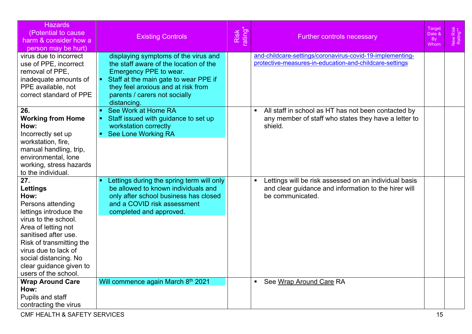| <b>Hazards</b><br>(Potential to cause)<br>harm & consider how a<br>person may be hurt)                                                                                                                                                                                               | <b>Existing Controls</b>                                                                                                                                                                                                                  | Risk<br>rating* | <b>Further controls necessary</b>                                                                                                                   | Target<br>Date &<br><b>By</b><br>Whom | New Risk<br>Rating** |
|--------------------------------------------------------------------------------------------------------------------------------------------------------------------------------------------------------------------------------------------------------------------------------------|-------------------------------------------------------------------------------------------------------------------------------------------------------------------------------------------------------------------------------------------|-----------------|-----------------------------------------------------------------------------------------------------------------------------------------------------|---------------------------------------|----------------------|
| virus due to incorrect<br>use of PPE, incorrect<br>removal of PPE,<br>inadequate amounts of<br>PPE available, not<br>correct standard of PPE                                                                                                                                         | displaying symptoms of the virus and<br>the staff aware of the location of the<br>Emergency PPE to wear.<br>• Staff at the main gate to wear PPE if<br>they feel anxious and at risk from<br>parents / carers not socially<br>distancing. |                 | and-childcare-settings/coronavirus-covid-19-implementing-<br>protective-measures-in-education-and-childcare-settings                                |                                       |                      |
| 26.<br><b>Working from Home</b><br>How:<br>Incorrectly set up<br>workstation, fire,<br>manual handling, trip,<br>environmental, lone<br>working, stress hazards<br>to the individual.                                                                                                | See Work at Home RA<br>Staff issued with guidance to set up<br>workstation correctly<br>• See Lone Working RA                                                                                                                             |                 | All staff in school as HT has not been contacted by<br>$\blacksquare$<br>any member of staff who states they have a letter to<br>shield.            |                                       |                      |
| 27.<br><b>Lettings</b><br>How:<br>Persons attending<br>lettings introduce the<br>virus to the school.<br>Area of letting not<br>sanitised after use.<br>Risk of transmitting the<br>virus due to lack of<br>social distancing. No<br>clear guidance given to<br>users of the school. | Lettings during the spring term will only<br>be allowed to known individuals and<br>only after school business has closed<br>and a COVID risk assessment<br>completed and approved.                                                       |                 | Lettings will be risk assessed on an individual basis<br>$\blacksquare$<br>and clear guidance and information to the hirer will<br>be communicated. |                                       |                      |
| <b>Wrap Around Care</b><br>How:<br>Pupils and staff<br>contracting the virus                                                                                                                                                                                                         | Will commence again March 8th 2021                                                                                                                                                                                                        |                 | See Wrap Around Care RA<br>$\blacksquare$                                                                                                           |                                       |                      |